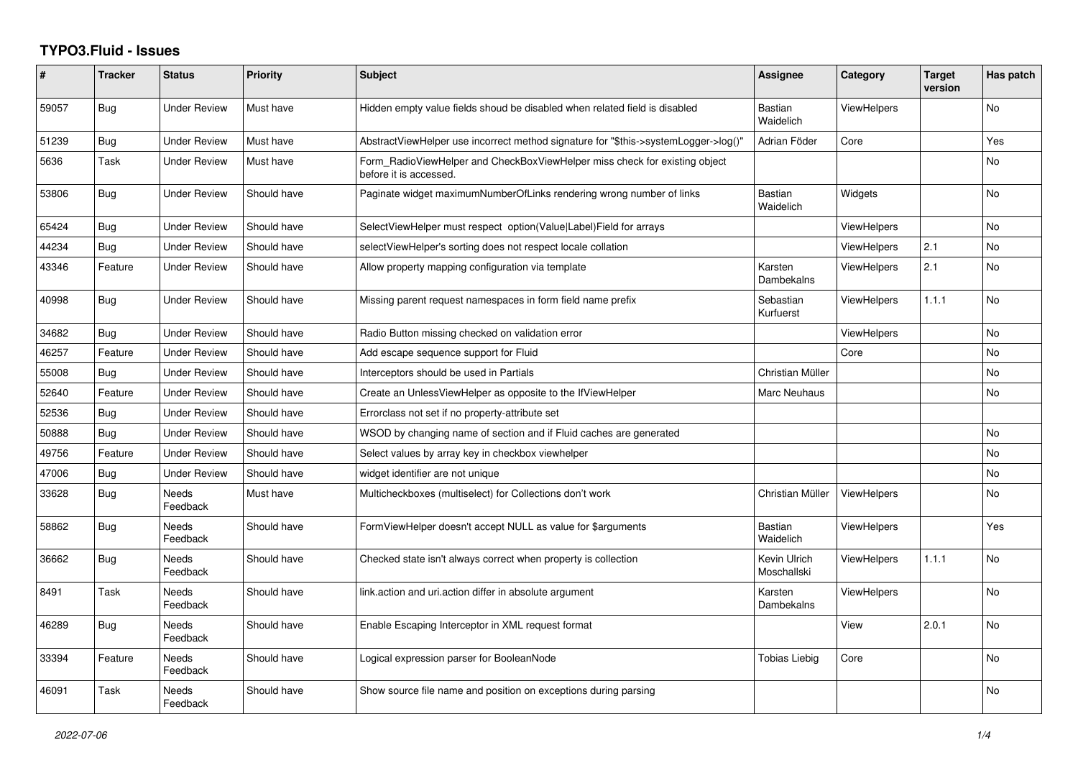## **TYPO3.Fluid - Issues**

| #     | <b>Tracker</b> | <b>Status</b>       | <b>Priority</b> | <b>Subject</b>                                                                                       | Assignee                    | Category           | <b>Target</b><br>version | Has patch      |
|-------|----------------|---------------------|-----------------|------------------------------------------------------------------------------------------------------|-----------------------------|--------------------|--------------------------|----------------|
| 59057 | Bug            | Under Review        | Must have       | Hidden empty value fields shoud be disabled when related field is disabled                           | <b>Bastian</b><br>Waidelich | <b>ViewHelpers</b> |                          | No             |
| 51239 | Bug            | <b>Under Review</b> | Must have       | AbstractViewHelper use incorrect method signature for "\$this->systemLogger->log()"                  | Adrian Föder                | Core               |                          | Yes            |
| 5636  | Task           | <b>Under Review</b> | Must have       | Form RadioViewHelper and CheckBoxViewHelper miss check for existing object<br>before it is accessed. |                             |                    |                          | <b>No</b>      |
| 53806 | Bug            | Under Review        | Should have     | Paginate widget maximumNumberOfLinks rendering wrong number of links                                 | <b>Bastian</b><br>Waidelich | Widgets            |                          | No             |
| 65424 | Bug            | <b>Under Review</b> | Should have     | SelectViewHelper must respect option(Value Label)Field for arrays                                    |                             | <b>ViewHelpers</b> |                          | No             |
| 44234 | Bug            | <b>Under Review</b> | Should have     | selectViewHelper's sorting does not respect locale collation                                         |                             | <b>ViewHelpers</b> | 2.1                      | <b>No</b>      |
| 43346 | Feature        | Under Review        | Should have     | Allow property mapping configuration via template                                                    | Karsten<br>Dambekalns       | <b>ViewHelpers</b> | 2.1                      | <b>No</b>      |
| 40998 | Bug            | <b>Under Review</b> | Should have     | Missing parent request namespaces in form field name prefix                                          | Sebastian<br>Kurfuerst      | <b>ViewHelpers</b> | 1.1.1                    | <b>No</b>      |
| 34682 | Bug            | <b>Under Review</b> | Should have     | Radio Button missing checked on validation error                                                     |                             | ViewHelpers        |                          | <b>No</b>      |
| 46257 | Feature        | Under Review        | Should have     | Add escape sequence support for Fluid                                                                |                             | Core               |                          | <b>No</b>      |
| 55008 | Bug            | <b>Under Review</b> | Should have     | Interceptors should be used in Partials                                                              | Christian Müller            |                    |                          | No             |
| 52640 | Feature        | <b>Under Review</b> | Should have     | Create an UnlessViewHelper as opposite to the IfViewHelper                                           | Marc Neuhaus                |                    |                          | <b>No</b>      |
| 52536 | Bug            | Under Review        | Should have     | Errorclass not set if no property-attribute set                                                      |                             |                    |                          |                |
| 50888 | Bug            | <b>Under Review</b> | Should have     | WSOD by changing name of section and if Fluid caches are generated                                   |                             |                    |                          | No             |
| 49756 | Feature        | <b>Under Review</b> | Should have     | Select values by array key in checkbox viewhelper                                                    |                             |                    |                          | <b>No</b>      |
| 47006 | Bug            | Under Review        | Should have     | widget identifier are not unique                                                                     |                             |                    |                          | No             |
| 33628 | Bug            | Needs<br>Feedback   | Must have       | Multicheckboxes (multiselect) for Collections don't work                                             | Christian Müller            | <b>ViewHelpers</b> |                          | No             |
| 58862 | Bug            | Needs<br>Feedback   | Should have     | FormViewHelper doesn't accept NULL as value for \$arguments                                          | Bastian<br>Waidelich        | ViewHelpers        |                          | Yes            |
| 36662 | Bug            | Needs<br>Feedback   | Should have     | Checked state isn't always correct when property is collection                                       | Kevin Ulrich<br>Moschallski | <b>ViewHelpers</b> | 1.1.1                    | N <sub>o</sub> |
| 8491  | Task           | Needs<br>Feedback   | Should have     | link.action and uri.action differ in absolute argument                                               | Karsten<br>Dambekalns       | <b>ViewHelpers</b> |                          | <b>No</b>      |
| 46289 | Bug            | Needs<br>Feedback   | Should have     | Enable Escaping Interceptor in XML request format                                                    |                             | View               | 2.0.1                    | <b>No</b>      |
| 33394 | Feature        | Needs<br>Feedback   | Should have     | Logical expression parser for BooleanNode                                                            | Tobias Liebig               | Core               |                          | <b>No</b>      |
| 46091 | Task           | Needs<br>Feedback   | Should have     | Show source file name and position on exceptions during parsing                                      |                             |                    |                          | <b>No</b>      |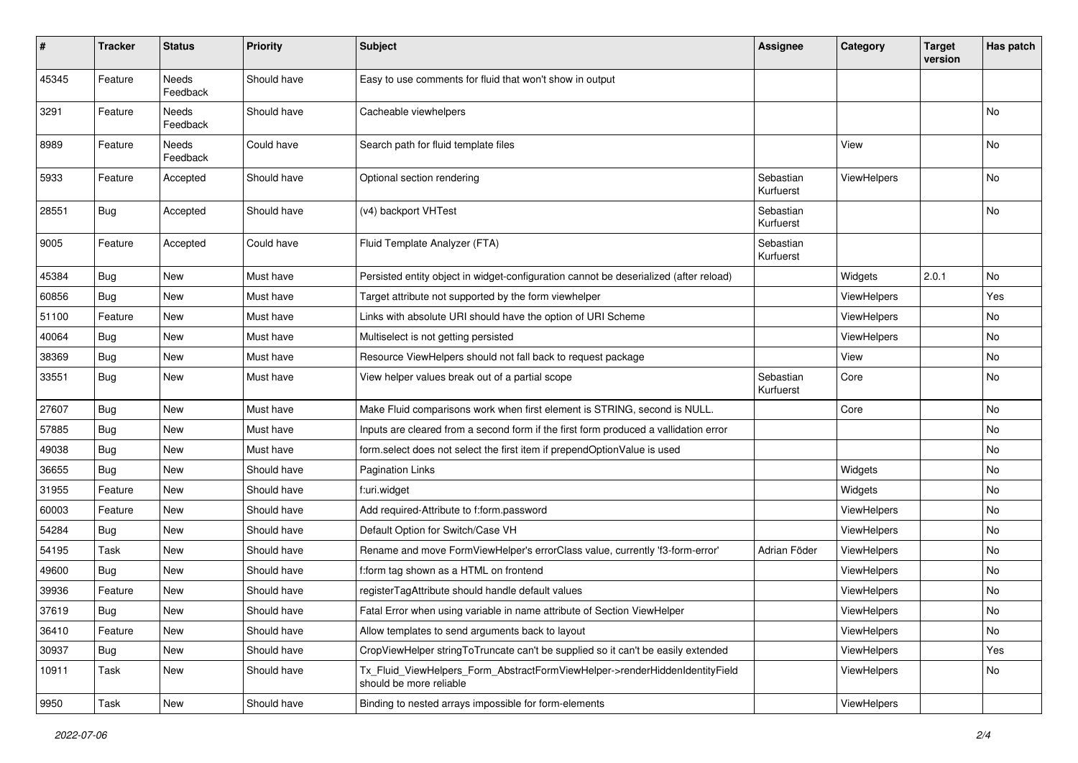| ∦     | <b>Tracker</b> | <b>Status</b>     | <b>Priority</b> | <b>Subject</b>                                                                                         | <b>Assignee</b>        | Category           | <b>Target</b><br>version | Has patch                    |
|-------|----------------|-------------------|-----------------|--------------------------------------------------------------------------------------------------------|------------------------|--------------------|--------------------------|------------------------------|
| 45345 | Feature        | Needs<br>Feedback | Should have     | Easy to use comments for fluid that won't show in output                                               |                        |                    |                          |                              |
| 3291  | Feature        | Needs<br>Feedback | Should have     | Cacheable viewhelpers                                                                                  |                        |                    |                          | No.                          |
| 8989  | Feature        | Needs<br>Feedback | Could have      | Search path for fluid template files                                                                   |                        | View               |                          | No.                          |
| 5933  | Feature        | Accepted          | Should have     | Optional section rendering                                                                             | Sebastian<br>Kurfuerst | ViewHelpers        |                          | No                           |
| 28551 | Bug            | Accepted          | Should have     | (v4) backport VHTest                                                                                   | Sebastian<br>Kurfuerst |                    |                          | No                           |
| 9005  | Feature        | Accepted          | Could have      | Fluid Template Analyzer (FTA)                                                                          | Sebastian<br>Kurfuerst |                    |                          |                              |
| 45384 | Bug            | New               | Must have       | Persisted entity object in widget-configuration cannot be deserialized (after reload)                  |                        | Widgets            | 2.0.1                    | No                           |
| 60856 | Bug            | New               | Must have       | Target attribute not supported by the form viewhelper                                                  |                        | ViewHelpers        |                          | Yes                          |
| 51100 | Feature        | New               | Must have       | Links with absolute URI should have the option of URI Scheme                                           |                        | ViewHelpers        |                          | No                           |
| 40064 | Bug            | New               | Must have       | Multiselect is not getting persisted                                                                   |                        | ViewHelpers        |                          | No                           |
| 38369 | Bug            | New               | Must have       | Resource ViewHelpers should not fall back to request package                                           |                        | View               |                          | No                           |
| 33551 | Bug            | New               | Must have       | View helper values break out of a partial scope                                                        | Sebastian<br>Kurfuerst | Core               |                          | No                           |
| 27607 | Bug            | New               | Must have       | Make Fluid comparisons work when first element is STRING, second is NULL.                              |                        | Core               |                          | No                           |
| 57885 | Bug            | New               | Must have       | Inputs are cleared from a second form if the first form produced a vallidation error                   |                        |                    |                          | No                           |
| 49038 | Bug            | New               | Must have       | form.select does not select the first item if prependOptionValue is used                               |                        |                    |                          | No.                          |
| 36655 | Bug            | New               | Should have     | Pagination Links                                                                                       |                        | Widgets            |                          | No                           |
| 31955 | Feature        | New               | Should have     | f:uri.widget                                                                                           |                        | Widgets            |                          | No                           |
| 60003 | Feature        | New               | Should have     | Add required-Attribute to f:form.password                                                              |                        | ViewHelpers        |                          | No                           |
| 54284 | Bug            | New               | Should have     | Default Option for Switch/Case VH                                                                      |                        | ViewHelpers        |                          | No                           |
| 54195 | Task           | New               | Should have     | Rename and move FormViewHelper's errorClass value, currently 'f3-form-error'                           | Adrian Föder           | ViewHelpers        |                          | No                           |
| 49600 | Bug            | New               | Should have     | f:form tag shown as a HTML on frontend                                                                 |                        | ViewHelpers        |                          | No                           |
| 39936 | Feature        | New               | Should have     | registerTagAttribute should handle default values                                                      |                        | ViewHelpers        |                          | No                           |
| 37619 | <b>Bug</b>     | New               | Should have     | Fatal Error when using variable in name attribute of Section ViewHelper                                |                        | ViewHelpers        |                          | $\operatorname{\mathsf{No}}$ |
| 36410 | Feature        | New               | Should have     | Allow templates to send arguments back to layout                                                       |                        | <b>ViewHelpers</b> |                          | No                           |
| 30937 | Bug            | New               | Should have     | CropViewHelper stringToTruncate can't be supplied so it can't be easily extended                       |                        | ViewHelpers        |                          | Yes                          |
| 10911 | Task           | New               | Should have     | Tx_Fluid_ViewHelpers_Form_AbstractFormViewHelper->renderHiddenIdentityField<br>should be more reliable |                        | ViewHelpers        |                          | No                           |
| 9950  | Task           | New               | Should have     | Binding to nested arrays impossible for form-elements                                                  |                        | ViewHelpers        |                          |                              |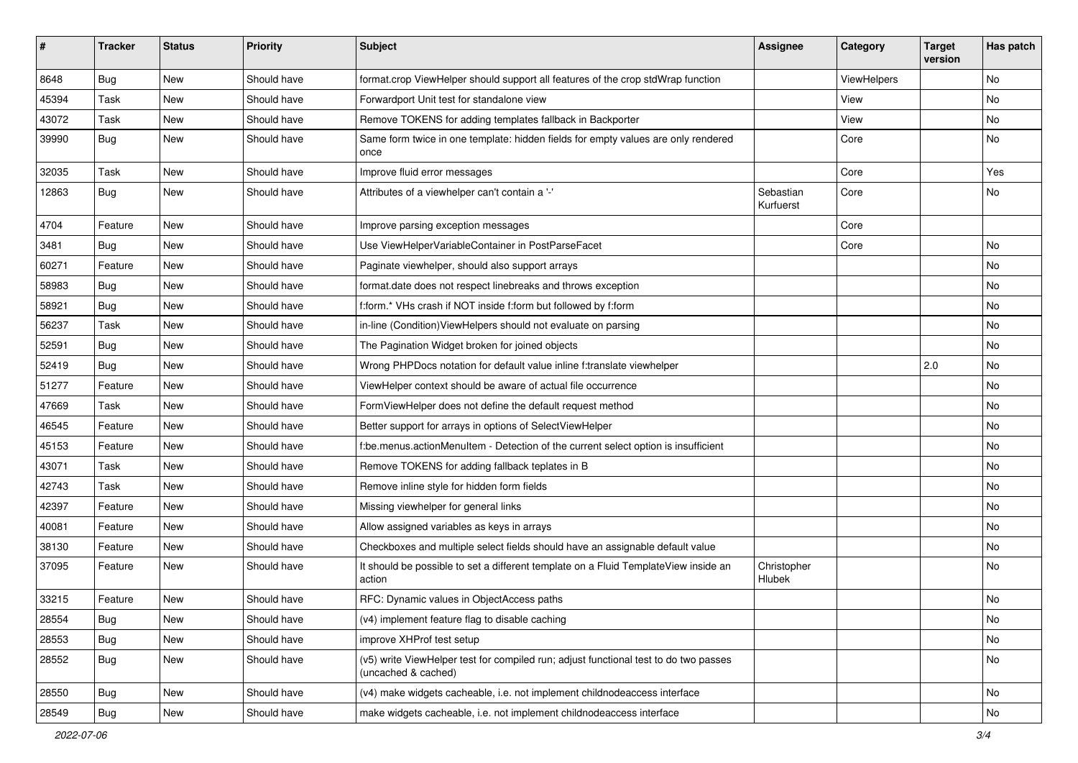| #     | <b>Tracker</b> | <b>Status</b> | Priority    | Subject                                                                                                     | <b>Assignee</b>        | Category    | <b>Target</b><br>version | Has patch |
|-------|----------------|---------------|-------------|-------------------------------------------------------------------------------------------------------------|------------------------|-------------|--------------------------|-----------|
| 8648  | Bug            | New           | Should have | format.crop ViewHelper should support all features of the crop stdWrap function                             |                        | ViewHelpers |                          | <b>No</b> |
| 45394 | Task           | New           | Should have | Forwardport Unit test for standalone view                                                                   |                        | View        |                          | No        |
| 43072 | Task           | New           | Should have | Remove TOKENS for adding templates fallback in Backporter                                                   |                        | View        |                          | No        |
| 39990 | Bug            | New           | Should have | Same form twice in one template: hidden fields for empty values are only rendered<br>once                   |                        | Core        |                          | No        |
| 32035 | Task           | New           | Should have | Improve fluid error messages                                                                                |                        | Core        |                          | Yes       |
| 12863 | Bug            | New           | Should have | Attributes of a viewhelper can't contain a '-'                                                              | Sebastian<br>Kurfuerst | Core        |                          | No        |
| 4704  | Feature        | <b>New</b>    | Should have | Improve parsing exception messages                                                                          |                        | Core        |                          |           |
| 3481  | Bug            | New           | Should have | Use ViewHelperVariableContainer in PostParseFacet                                                           |                        | Core        |                          | <b>No</b> |
| 60271 | Feature        | New           | Should have | Paginate viewhelper, should also support arrays                                                             |                        |             |                          | No        |
| 58983 | Bug            | New           | Should have | format.date does not respect linebreaks and throws exception                                                |                        |             |                          | No        |
| 58921 | Bug            | New           | Should have | f:form.* VHs crash if NOT inside f:form but followed by f:form                                              |                        |             |                          | No        |
| 56237 | Task           | New           | Should have | in-line (Condition) View Helpers should not evaluate on parsing                                             |                        |             |                          | <b>No</b> |
| 52591 | <b>Bug</b>     | New           | Should have | The Pagination Widget broken for joined objects                                                             |                        |             |                          | No        |
| 52419 | Bug            | New           | Should have | Wrong PHPDocs notation for default value inline f:translate viewhelper                                      |                        |             | 2.0                      | No        |
| 51277 | Feature        | New           | Should have | ViewHelper context should be aware of actual file occurrence                                                |                        |             |                          | No        |
| 47669 | Task           | New           | Should have | FormViewHelper does not define the default request method                                                   |                        |             |                          | No        |
| 46545 | Feature        | New           | Should have | Better support for arrays in options of SelectViewHelper                                                    |                        |             |                          | No        |
| 45153 | Feature        | New           | Should have | f:be.menus.actionMenuItem - Detection of the current select option is insufficient                          |                        |             |                          | No        |
| 43071 | Task           | New           | Should have | Remove TOKENS for adding fallback teplates in B                                                             |                        |             |                          | No        |
| 42743 | Task           | New           | Should have | Remove inline style for hidden form fields                                                                  |                        |             |                          | No        |
| 42397 | Feature        | New           | Should have | Missing viewhelper for general links                                                                        |                        |             |                          | No        |
| 40081 | Feature        | New           | Should have | Allow assigned variables as keys in arrays                                                                  |                        |             |                          | No        |
| 38130 | Feature        | New           | Should have | Checkboxes and multiple select fields should have an assignable default value                               |                        |             |                          | No        |
| 37095 | Feature        | New           | Should have | It should be possible to set a different template on a Fluid TemplateView inside an<br>action               | Christopher<br>Hlubek  |             |                          | <b>No</b> |
| 33215 | Feature        | New           | Should have | RFC: Dynamic values in ObjectAccess paths                                                                   |                        |             |                          | No        |
| 28554 | Bug            | New           | Should have | (v4) implement feature flag to disable caching                                                              |                        |             |                          | No        |
| 28553 | Bug            | New           | Should have | improve XHProf test setup                                                                                   |                        |             |                          | No        |
| 28552 | <b>Bug</b>     | New           | Should have | (v5) write ViewHelper test for compiled run; adjust functional test to do two passes<br>(uncached & cached) |                        |             |                          | No        |
| 28550 | Bug            | New           | Should have | (v4) make widgets cacheable, i.e. not implement childnodeaccess interface                                   |                        |             |                          | No        |
| 28549 | Bug            | New           | Should have | make widgets cacheable, i.e. not implement childnodeaccess interface                                        |                        |             |                          | No        |